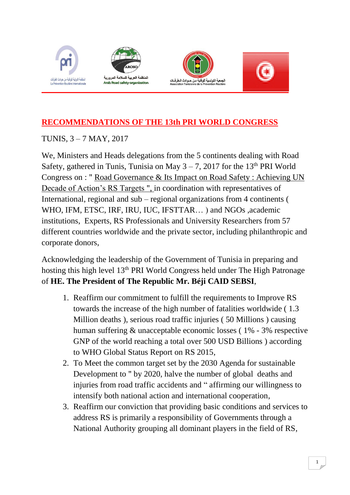







## **RECOMMENDATIONS OF THE 13th PRI WORLD CONGRESS**

TUNIS, 3 – 7 MAY, 2017

We, Ministers and Heads delegations from the 5 continents dealing with Road Safety, gathered in Tunis, Tunisia on May  $3 - 7$ , 2017 for the 13<sup>th</sup> PRI World Congress on : " Road Governance & Its Impact on Road Safety : Achieving UN Decade of Action's RS Targets ", in coordination with representatives of International, regional and sub – regional organizations from 4 continents ( WHO, IFM, ETSC, IRF, IRU, IUC, IFSTTAR… ) and NGOs ,academic institutions, Experts, RS Professionals and University Researchers from 57 different countries worldwide and the private sector, including philanthropic and corporate donors,

Acknowledging the leadership of the Government of Tunisia in preparing and hosting this high level 13th PRI World Congress held under The High Patronage of **HE. The President of The Republic Mr. Béji CAID SEBSI**,

- 1. Reaffirm our commitment to fulfill the requirements to Improve RS towards the increase of the high number of fatalities worldwide ( 1.3 Million deaths ), serious road traffic injuries ( 50 Millions ) causing human suffering & unacceptable economic losses ( 1% - 3% respective GNP of the world reaching a total over 500 USD Billions ) according to WHO Global Status Report on RS 2015,
- 2. To Meet the common target set by the 2030 Agenda for sustainable Development to " by 2020, halve the number of global deaths and injuries from road traffic accidents and " affirming our willingness to intensify both national action and international cooperation,
- 3. Reaffirm our conviction that providing basic conditions and services to address RS is primarily a responsibility of Governments through a National Authority grouping all dominant players in the field of RS,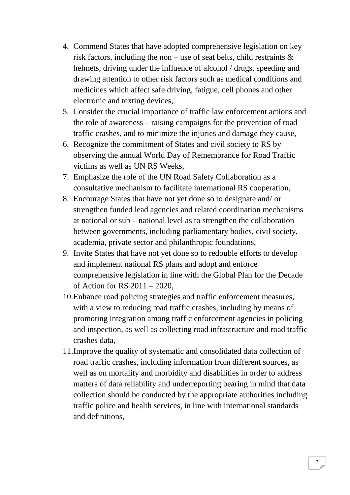- 4. Commend States that have adopted comprehensive legislation on key risk factors, including the non – use of seat belts, child restraints  $\&$ helmets, driving under the influence of alcohol / drugs, speeding and drawing attention to other risk factors such as medical conditions and medicines which affect safe driving, fatigue, cell phones and other electronic and texting devices,
- 5. Consider the crucial importance of traffic law enforcement actions and the role of awareness – raising campaigns for the prevention of road traffic crashes, and to minimize the injuries and damage they cause,
- 6. Recognize the commitment of States and civil society to RS by observing the annual World Day of Remembrance for Road Traffic victims as well as UN RS Weeks,
- 7. Emphasize the role of the UN Road Safety Collaboration as a consultative mechanism to facilitate international RS cooperation,
- 8. Encourage States that have not yet done so to designate and/ or strengthen funded lead agencies and related coordination mechanisms at national or sub – national level as to strengthen the collaboration between governments, including parliamentary bodies, civil society, academia, private sector and philanthropic foundations,
- 9. Invite States that have not yet done so to redouble efforts to develop and implement national RS plans and adopt and enforce comprehensive legislation in line with the Global Plan for the Decade of Action for RS 2011 – 2020,
- 10.Enhance road policing strategies and traffic enforcement measures, with a view to reducing road traffic crashes, including by means of promoting integration among traffic enforcement agencies in policing and inspection, as well as collecting road infrastructure and road traffic crashes data,
- 11.Improve the quality of systematic and consolidated data collection of road traffic crashes, including information from different sources, as well as on mortality and morbidity and disabilities in order to address matters of data reliability and underreporting bearing in mind that data collection should be conducted by the appropriate authorities including traffic police and health services, in line with international standards and definitions,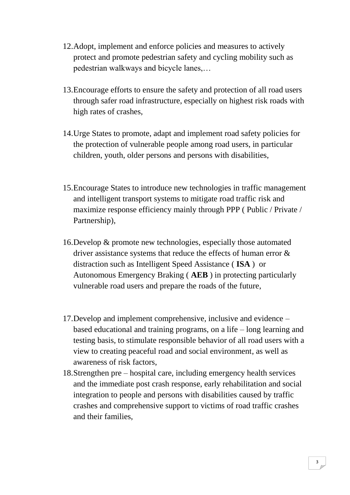- 12.Adopt, implement and enforce policies and measures to actively protect and promote pedestrian safety and cycling mobility such as pedestrian walkways and bicycle lanes,…
- 13.Encourage efforts to ensure the safety and protection of all road users through safer road infrastructure, especially on highest risk roads with high rates of crashes,
- 14.Urge States to promote, adapt and implement road safety policies for the protection of vulnerable people among road users, in particular children, youth, older persons and persons with disabilities,
- 15.Encourage States to introduce new technologies in traffic management and intelligent transport systems to mitigate road traffic risk and maximize response efficiency mainly through PPP ( Public / Private / Partnership),
- 16.Develop & promote new technologies, especially those automated driver assistance systems that reduce the effects of human error & distraction such as Intelligent Speed Assistance ( **ISA** ) or Autonomous Emergency Braking ( **AEB** ) in protecting particularly vulnerable road users and prepare the roads of the future,
- 17.Develop and implement comprehensive, inclusive and evidence based educational and training programs, on a life – long learning and testing basis, to stimulate responsible behavior of all road users with a view to creating peaceful road and social environment, as well as awareness of risk factors,
- 18.Strengthen pre hospital care, including emergency health services and the immediate post crash response, early rehabilitation and social integration to people and persons with disabilities caused by traffic crashes and comprehensive support to victims of road traffic crashes and their families,